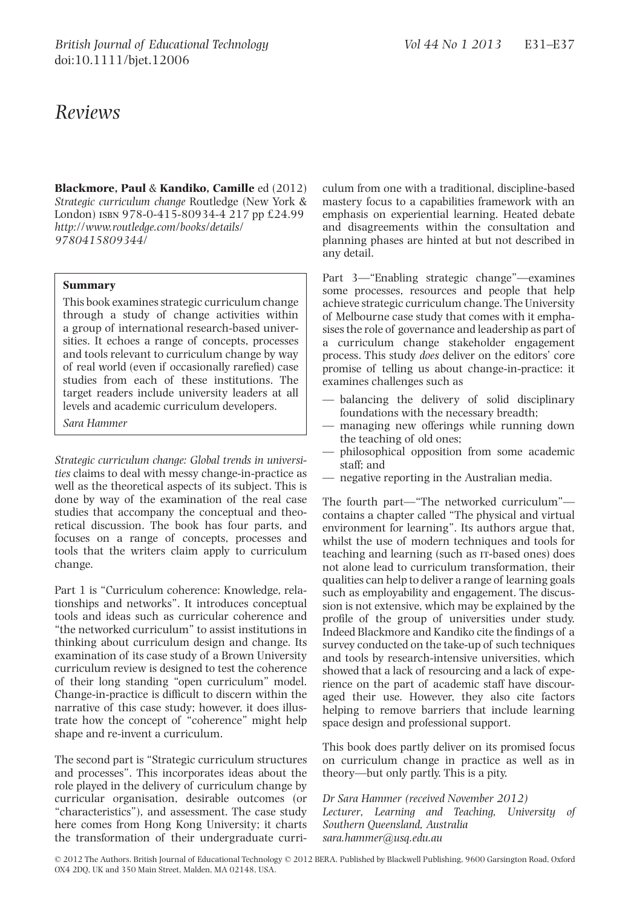**Blackmore, Paul** & **Kandiko, Camille** ed (2012) *Strategic curriculum change* Routledge (New York & London) isbn 978-0-415-80934-4 217 pp £24.99 *http://www.routledge.com/books/details/ 9780415809344/*

# **Summary**

This book examines strategic curriculum change through a study of change activities within a group of international research-based universities. It echoes a range of concepts, processes and tools relevant to curriculum change by way of real world (even if occasionally rarefied) case studies from each of these institutions. The target readers include university leaders at all levels and academic curriculum developers.

*Sara Hammer*

*Strategic curriculum change: Global trends in universities* claims to deal with messy change-in-practice as well as the theoretical aspects of its subject. This is done by way of the examination of the real case studies that accompany the conceptual and theoretical discussion. The book has four parts, and focuses on a range of concepts, processes and tools that the writers claim apply to curriculum change.

Part 1 is "Curriculum coherence: Knowledge, relationships and networks". It introduces conceptual tools and ideas such as curricular coherence and "the networked curriculum" to assist institutions in thinking about curriculum design and change. Its examination of its case study of a Brown University curriculum review is designed to test the coherence of their long standing "open curriculum" model. Change-in-practice is difficult to discern within the narrative of this case study; however, it does illustrate how the concept of "coherence" might help shape and re-invent a curriculum.

The second part is "Strategic curriculum structures and processes". This incorporates ideas about the role played in the delivery of curriculum change by curricular organisation, desirable outcomes (or "characteristics"), and assessment. The case study here comes from Hong Kong University; it charts the transformation of their undergraduate curriculum from one with a traditional, discipline-based mastery focus to a capabilities framework with an emphasis on experiential learning. Heated debate and disagreements within the consultation and planning phases are hinted at but not described in any detail.

Part 3—"Enabling strategic change"—examines some processes, resources and people that help achieve strategic curriculum change. The University of Melbourne case study that comes with it emphasises the role of governance and leadership as part of a curriculum change stakeholder engagement process. This study *does* deliver on the editors' core promise of telling us about change-in-practice: it examines challenges such as

- balancing the delivery of solid disciplinary foundations with the necessary breadth;
- managing new offerings while running down the teaching of old ones;
- philosophical opposition from some academic staff; and
- negative reporting in the Australian media.

The fourth part—"The networked curriculum" contains a chapter called "The physical and virtual environment for learning". Its authors argue that, whilst the use of modern techniques and tools for teaching and learning (such as it-based ones) does not alone lead to curriculum transformation, their qualities can help to deliver a range of learning goals such as employability and engagement. The discussion is not extensive, which may be explained by the profile of the group of universities under study. Indeed Blackmore and Kandiko cite the findings of a survey conducted on the take-up of such techniques and tools by research-intensive universities, which showed that a lack of resourcing and a lack of experience on the part of academic staff have discouraged their use. However, they also cite factors helping to remove barriers that include learning space design and professional support.

This book does partly deliver on its promised focus on curriculum change in practice as well as in theory—but only partly. This is a pity.

*Dr Sara Hammer (received November 2012) Lecturer, Learning and Teaching, University of Southern Queensland, Australia sara.hammer@usq.edu.au*

© 2012 The Authors. British Journal of Educational Technology © 2012 BERA. Published by Blackwell Publishing, 9600 Garsington Road, Oxford OX4 2DQ, UK and 350 Main Street, Malden, MA 02148, USA.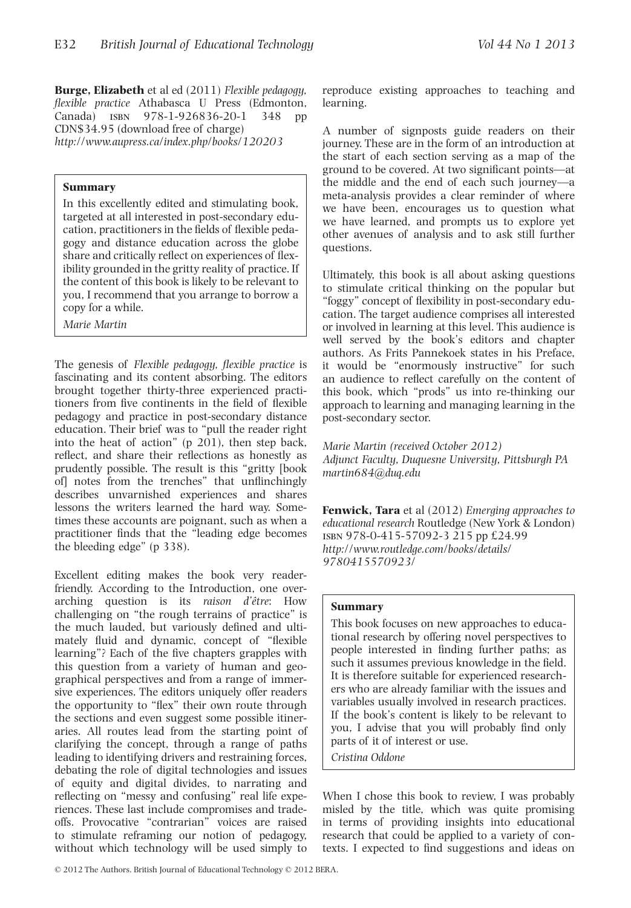**Burge, Elizabeth** et al ed (2011) *Flexible pedagogy, flexible practice* Athabasca U Press (Edmonton, Canada) ISBN 978-1-926836-20-1 348 pp. 978-1-926836-20-1 348 pp CDN\$34.95 (download free of charge) *http://www.aupress.ca/index.php/books/120203*

#### **Summary**

In this excellently edited and stimulating book, targeted at all interested in post-secondary education, practitioners in the fields of flexible pedagogy and distance education across the globe share and critically reflect on experiences of flexibility grounded in the gritty reality of practice. If the content of this book is likely to be relevant to you, I recommend that you arrange to borrow a copy for a while.

*Marie Martin*

The genesis of *Flexible pedagogy, flexible practice* is fascinating and its content absorbing. The editors brought together thirty-three experienced practitioners from five continents in the field of flexible pedagogy and practice in post-secondary distance education. Their brief was to "pull the reader right into the heat of action" (p  $201$ ), then step back, reflect, and share their reflections as honestly as prudently possible. The result is this "gritty [book of] notes from the trenches" that unflinchingly describes unvarnished experiences and shares lessons the writers learned the hard way. Sometimes these accounts are poignant, such as when a practitioner finds that the "leading edge becomes the bleeding edge" (p 338).

Excellent editing makes the book very readerfriendly. According to the Introduction, one overarching question is its *raison d'être*: How challenging on "the rough terrains of practice" is the much lauded, but variously defined and ultimately fluid and dynamic, concept of "flexible learning"? Each of the five chapters grapples with this question from a variety of human and geographical perspectives and from a range of immersive experiences. The editors uniquely offer readers the opportunity to "flex" their own route through the sections and even suggest some possible itineraries. All routes lead from the starting point of clarifying the concept, through a range of paths leading to identifying drivers and restraining forces, debating the role of digital technologies and issues of equity and digital divides, to narrating and reflecting on "messy and confusing" real life experiences. These last include compromises and tradeoffs. Provocative "contrarian" voices are raised to stimulate reframing our notion of pedagogy, without which technology will be used simply to

reproduce existing approaches to teaching and learning.

A number of signposts guide readers on their journey. These are in the form of an introduction at the start of each section serving as a map of the ground to be covered. At two significant points—at the middle and the end of each such journey—a meta-analysis provides a clear reminder of where we have been, encourages us to question what we have learned, and prompts us to explore yet other avenues of analysis and to ask still further questions.

Ultimately, this book is all about asking questions to stimulate critical thinking on the popular but "foggy" concept of flexibility in post-secondary education. The target audience comprises all interested or involved in learning at this level. This audience is well served by the book's editors and chapter authors. As Frits Pannekoek states in his Preface, it would be "enormously instructive" for such an audience to reflect carefully on the content of this book, which "prods" us into re-thinking our approach to learning and managing learning in the post-secondary sector.

*Marie Martin (received October 2012) Adjunct Faculty, Duquesne University, Pittsburgh PA martin684@duq.edu*

**Fenwick, Tara** et al (2012) *Emerging approaches to educational research* Routledge (New York & London) isbn 978-0-415-57092-3 215 pp £24.99 *http://www.routledge.com/books/details/ 9780415570923/*

### **Summary**

This book focuses on new approaches to educational research by offering novel perspectives to people interested in finding further paths; as such it assumes previous knowledge in the field. It is therefore suitable for experienced researchers who are already familiar with the issues and variables usually involved in research practices. If the book's content is likely to be relevant to you, I advise that you will probably find only parts of it of interest or use.

*Cristina Oddone*

When I chose this book to review. I was probably misled by the title, which was quite promising in terms of providing insights into educational research that could be applied to a variety of contexts. I expected to find suggestions and ideas on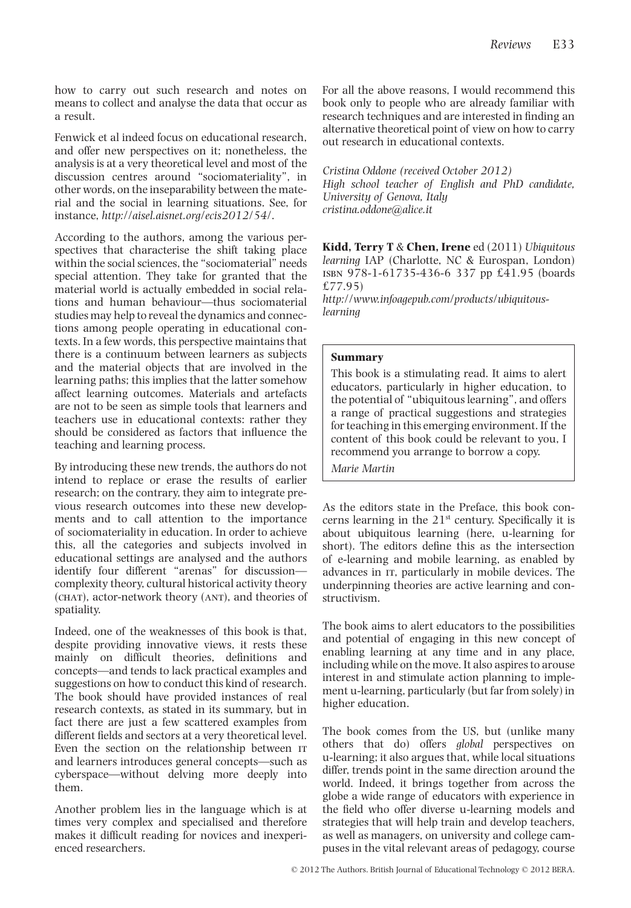how to carry out such research and notes on means to collect and analyse the data that occur as a result.

Fenwick et al indeed focus on educational research, and offer new perspectives on it; nonetheless, the analysis is at a very theoretical level and most of the discussion centres around "sociomateriality", in other words, on the inseparability between the material and the social in learning situations. See, for instance, *http://aisel.aisnet.org/ecis2012/54/*.

According to the authors, among the various perspectives that characterise the shift taking place within the social sciences, the "sociomaterial" needs special attention. They take for granted that the material world is actually embedded in social relations and human behaviour—thus sociomaterial studies may help to reveal the dynamics and connections among people operating in educational contexts. In a few words, this perspective maintains that there is a continuum between learners as subjects and the material objects that are involved in the learning paths; this implies that the latter somehow affect learning outcomes. Materials and artefacts are not to be seen as simple tools that learners and teachers use in educational contexts: rather they should be considered as factors that influence the teaching and learning process.

By introducing these new trends, the authors do not intend to replace or erase the results of earlier research; on the contrary, they aim to integrate previous research outcomes into these new developments and to call attention to the importance of sociomateriality in education. In order to achieve this, all the categories and subjects involved in educational settings are analysed and the authors identify four different "arenas" for discussion complexity theory, cultural historical activity theory (chat), actor-network theory (ant), and theories of spatiality.

Indeed, one of the weaknesses of this book is that, despite providing innovative views, it rests these mainly on difficult theories, definitions and concepts—and tends to lack practical examples and suggestions on how to conduct this kind of research. The book should have provided instances of real research contexts, as stated in its summary, but in fact there are just a few scattered examples from different fields and sectors at a very theoretical level. Even the section on the relationship between  $IT$ and learners introduces general concepts—such as cyberspace—without delving more deeply into them.

Another problem lies in the language which is at times very complex and specialised and therefore makes it difficult reading for novices and inexperienced researchers.

For all the above reasons, I would recommend this book only to people who are already familiar with research techniques and are interested in finding an alternative theoretical point of view on how to carry out research in educational contexts.

*Cristina Oddone (received October 2012) High school teacher of English and PhD candidate, University of Genova, Italy cristina.oddone@alice.it*

**Kidd, Terry T** & **Chen, Irene** ed (2011) *Ubiquitous learning* IAP (Charlotte, NC & Eurospan, London) isbn 978-1-61735-436-6 337 pp £41.95 (boards £77.95)

*http://www.infoagepub.com/products/ubiquitouslearning*

## **Summary**

This book is a stimulating read. It aims to alert educators, particularly in higher education, to the potential of "ubiquitous learning", and offers a range of practical suggestions and strategies for teaching in this emerging environment. If the content of this book could be relevant to you, I recommend you arrange to borrow a copy.

*Marie Martin*

As the editors state in the Preface, this book concerns learning in the  $21<sup>st</sup>$  century. Specifically it is about ubiquitous learning (here, u-learning for short). The editors define this as the intersection of e-learning and mobile learning, as enabled by advances in it, particularly in mobile devices. The underpinning theories are active learning and constructivism.

The book aims to alert educators to the possibilities and potential of engaging in this new concept of enabling learning at any time and in any place, including while on the move. It also aspires to arouse interest in and stimulate action planning to implement u-learning, particularly (but far from solely) in higher education.

The book comes from the US, but (unlike many others that do) offers *global* perspectives on u-learning; it also argues that, while local situations differ, trends point in the same direction around the world. Indeed, it brings together from across the globe a wide range of educators with experience in the field who offer diverse u-learning models and strategies that will help train and develop teachers, as well as managers, on university and college campuses in the vital relevant areas of pedagogy, course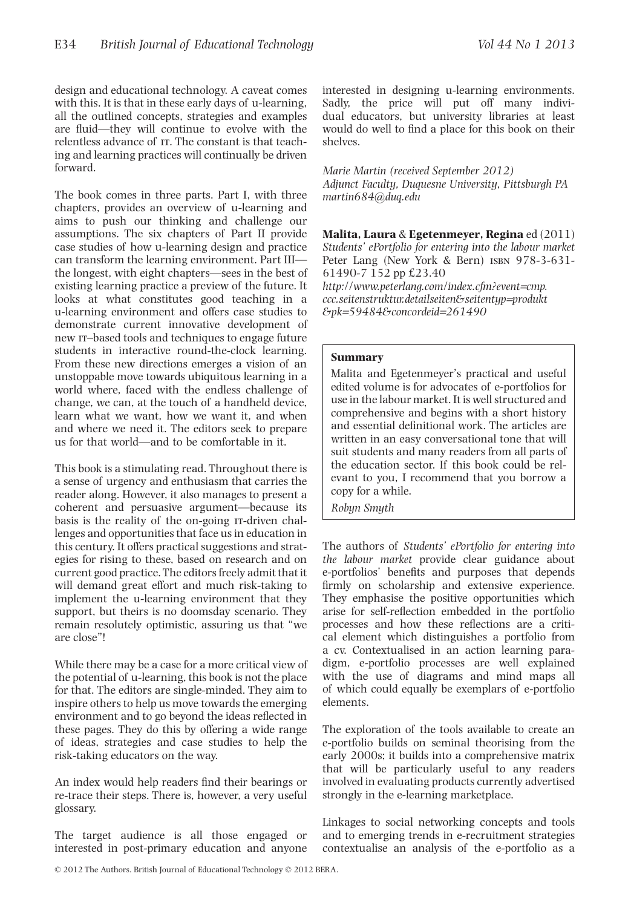design and educational technology. A caveat comes with this. It is that in these early days of u-learning, all the outlined concepts, strategies and examples are fluid—they will continue to evolve with the relentless advance of  $IT.$  The constant is that teaching and learning practices will continually be driven forward.

The book comes in three parts. Part I, with three chapters, provides an overview of u-learning and aims to push our thinking and challenge our assumptions. The six chapters of Part II provide case studies of how u-learning design and practice can transform the learning environment. Part III the longest, with eight chapters—sees in the best of existing learning practice a preview of the future. It looks at what constitutes good teaching in a u-learning environment and offers case studies to demonstrate current innovative development of new it–based tools and techniques to engage future students in interactive round-the-clock learning. From these new directions emerges a vision of an unstoppable move towards ubiquitous learning in a world where, faced with the endless challenge of change, we can, at the touch of a handheld device, learn what we want, how we want it, and when and where we need it. The editors seek to prepare us for that world—and to be comfortable in it.

This book is a stimulating read. Throughout there is a sense of urgency and enthusiasm that carries the reader along. However, it also manages to present a coherent and persuasive argument—because its basis is the reality of the on-going IT-driven challenges and opportunities that face us in education in this century. It offers practical suggestions and strategies for rising to these, based on research and on current good practice. The editors freely admit that it will demand great effort and much risk-taking to implement the u-learning environment that they support, but theirs is no doomsday scenario. They remain resolutely optimistic, assuring us that "we are close"!

While there may be a case for a more critical view of the potential of u-learning, this book is not the place for that. The editors are single-minded. They aim to inspire others to help us move towards the emerging environment and to go beyond the ideas reflected in these pages. They do this by offering a wide range of ideas, strategies and case studies to help the risk-taking educators on the way.

An index would help readers find their bearings or re-trace their steps. There is, however, a very useful glossary.

The target audience is all those engaged or interested in post-primary education and anyone interested in designing u-learning environments. Sadly, the price will put off many individual educators, but university libraries at least would do well to find a place for this book on their shelves.

*Marie Martin (received September 2012) Adjunct Faculty, Duquesne University, Pittsburgh PA martin684@duq.edu*

**Malita, Laura** & **Egetenmeyer, Regina** ed (2011) *Students' ePortfolio for entering into the labour market* Peter Lang (New York & Bern) ISBN 978-3-631-61490-7 152 pp £23.40 *http://www.peterlang.com/index.cfm?event*=*cmp. ccc.seitenstruktur.detailseiten&seitentyp*=*produkt &pk*=*59484&concordeid*=*261490*

### **Summary**

Malita and Egetenmeyer's practical and useful edited volume is for advocates of e-portfolios for use in the labour market. It is well structured and comprehensive and begins with a short history and essential definitional work. The articles are written in an easy conversational tone that will suit students and many readers from all parts of the education sector. If this book could be relevant to you, I recommend that you borrow a copy for a while.

*Robyn Smyth*

The authors of *Students' ePortfolio for entering into the labour market* provide clear guidance about e-portfolios' benefits and purposes that depends firmly on scholarship and extensive experience. They emphasise the positive opportunities which arise for self-reflection embedded in the portfolio processes and how these reflections are a critical element which distinguishes a portfolio from a cv. Contextualised in an action learning paradigm, e-portfolio processes are well explained with the use of diagrams and mind maps all of which could equally be exemplars of e-portfolio elements.

The exploration of the tools available to create an e-portfolio builds on seminal theorising from the early 2000s; it builds into a comprehensive matrix that will be particularly useful to any readers involved in evaluating products currently advertised strongly in the e-learning marketplace.

Linkages to social networking concepts and tools and to emerging trends in e-recruitment strategies contextualise an analysis of the e-portfolio as a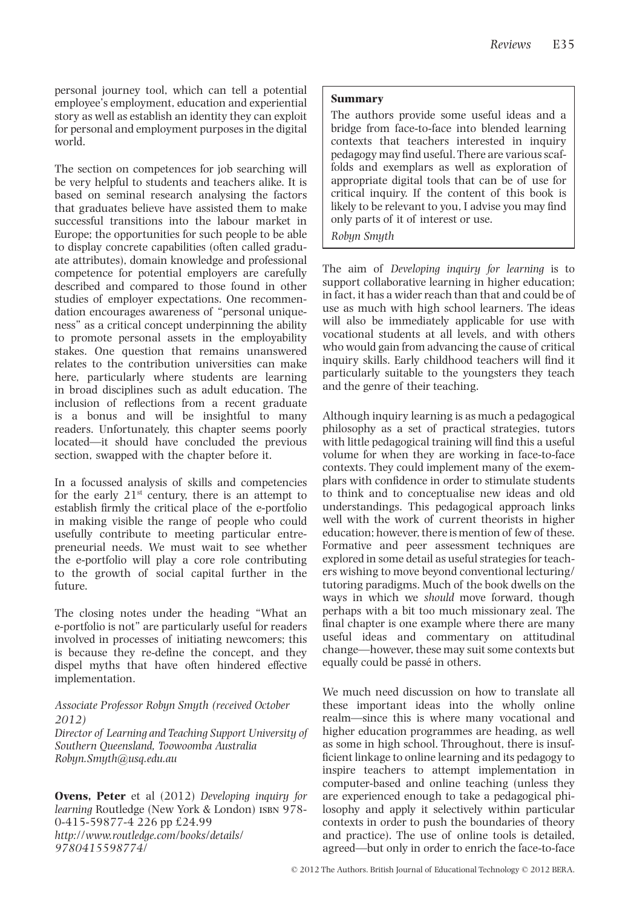personal journey tool, which can tell a potential employee's employment, education and experiential story as well as establish an identity they can exploit for personal and employment purposes in the digital world.

The section on competences for job searching will be very helpful to students and teachers alike. It is based on seminal research analysing the factors that graduates believe have assisted them to make successful transitions into the labour market in Europe; the opportunities for such people to be able to display concrete capabilities (often called graduate attributes), domain knowledge and professional competence for potential employers are carefully described and compared to those found in other studies of employer expectations. One recommendation encourages awareness of "personal uniqueness" as a critical concept underpinning the ability to promote personal assets in the employability stakes. One question that remains unanswered relates to the contribution universities can make here, particularly where students are learning in broad disciplines such as adult education. The inclusion of reflections from a recent graduate is a bonus and will be insightful to many readers. Unfortunately, this chapter seems poorly located—it should have concluded the previous section, swapped with the chapter before it.

In a focussed analysis of skills and competencies for the early  $21<sup>st</sup>$  century, there is an attempt to establish firmly the critical place of the e-portfolio in making visible the range of people who could usefully contribute to meeting particular entrepreneurial needs. We must wait to see whether the e-portfolio will play a core role contributing to the growth of social capital further in the future.

The closing notes under the heading "What an e-portfolio is not" are particularly useful for readers involved in processes of initiating newcomers; this is because they re-define the concept, and they dispel myths that have often hindered effective implementation.

*Associate Professor Robyn Smyth (received October 2012)*

*Director of Learning and Teaching Support University of Southern Queensland, Toowoomba Australia Robyn.Smyth@usq.edu.au*

**Ovens, Peter** et al (2012) *Developing inquiry for learning* Routledge (New York & London) ISBN 978-0-415-59877-4 226 pp £24.99 *http://www.routledge.com/books/details/ 9780415598774/*

# **Summary**

The authors provide some useful ideas and a bridge from face-to-face into blended learning contexts that teachers interested in inquiry pedagogy may find useful. There are various scaffolds and exemplars as well as exploration of appropriate digital tools that can be of use for critical inquiry. If the content of this book is likely to be relevant to you, I advise you may find only parts of it of interest or use.

*Robyn Smyth*

The aim of *Developing inquiry for learning* is to support collaborative learning in higher education; in fact, it has a wider reach than that and could be of use as much with high school learners. The ideas will also be immediately applicable for use with vocational students at all levels, and with others who would gain from advancing the cause of critical inquiry skills. Early childhood teachers will find it particularly suitable to the youngsters they teach and the genre of their teaching.

Although inquiry learning is as much a pedagogical philosophy as a set of practical strategies, tutors with little pedagogical training will find this a useful volume for when they are working in face-to-face contexts. They could implement many of the exemplars with confidence in order to stimulate students to think and to conceptualise new ideas and old understandings. This pedagogical approach links well with the work of current theorists in higher education; however, there is mention of few of these. Formative and peer assessment techniques are explored in some detail as useful strategies for teachers wishing to move beyond conventional lecturing/ tutoring paradigms. Much of the book dwells on the ways in which we *should* move forward, though perhaps with a bit too much missionary zeal. The final chapter is one example where there are many useful ideas and commentary on attitudinal change—however, these may suit some contexts but equally could be passé in others.

We much need discussion on how to translate all these important ideas into the wholly online realm—since this is where many vocational and higher education programmes are heading, as well as some in high school. Throughout, there is insufficient linkage to online learning and its pedagogy to inspire teachers to attempt implementation in computer-based and online teaching (unless they are experienced enough to take a pedagogical philosophy and apply it selectively within particular contexts in order to push the boundaries of theory and practice). The use of online tools is detailed, agreed—but only in order to enrich the face-to-face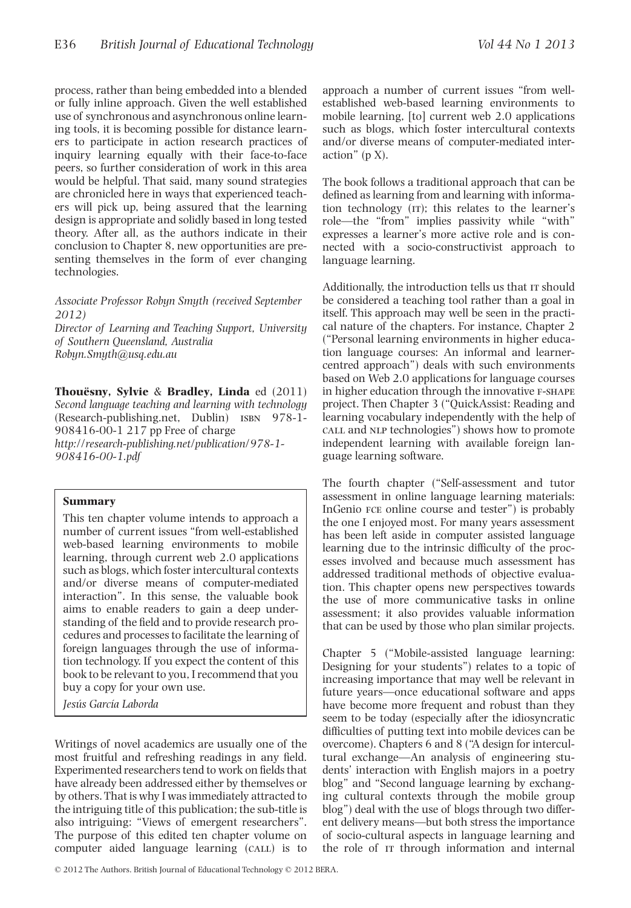process, rather than being embedded into a blended or fully inline approach. Given the well established use of synchronous and asynchronous online learning tools, it is becoming possible for distance learners to participate in action research practices of inquiry learning equally with their face-to-face peers, so further consideration of work in this area would be helpful. That said, many sound strategies are chronicled here in ways that experienced teachers will pick up, being assured that the learning design is appropriate and solidly based in long tested theory. After all, as the authors indicate in their conclusion to Chapter 8, new opportunities are presenting themselves in the form of ever changing technologies.

*Associate Professor Robyn Smyth (received September 2012)*

*Director of Learning and Teaching Support, University of Southern Queensland, Australia Robyn.Smyth@usq.edu.au*

**Thouësny, Sylvie** & **Bradley, Linda** ed (2011) *Second language teaching and learning with technology* (Research-publishing.net, Dublin) isbn 978-1- 908416-00-1 217 pp Free of charge *http://research-publishing.net/publication/978-1- 908416-00-1.pdf*

#### **Summary**

This ten chapter volume intends to approach a number of current issues "from well-established web-based learning environments to mobile learning, through current web 2.0 applications such as blogs, which foster intercultural contexts and/or diverse means of computer-mediated interaction". In this sense, the valuable book aims to enable readers to gain a deep understanding of the field and to provide research procedures and processes to facilitate the learning of foreign languages through the use of information technology. If you expect the content of this book to be relevant to you, I recommend that you buy a copy for your own use.

*Jesús García Laborda*

Writings of novel academics are usually one of the most fruitful and refreshing readings in any field. Experimented researchers tend to work on fields that have already been addressed either by themselves or by others. That is why I was immediately attracted to the intriguing title of this publication; the sub-title is also intriguing: "Views of emergent researchers". The purpose of this edited ten chapter volume on computer aided language learning (call) is to

approach a number of current issues "from wellestablished web-based learning environments to mobile learning, [to] current web 2.0 applications such as blogs, which foster intercultural contexts and/or diverse means of computer-mediated interaction" (p X).

The book follows a traditional approach that can be defined as learning from and learning with information technology  $(IT)$ ; this relates to the learner's role—the "from" implies passivity while "with" expresses a learner's more active role and is connected with a socio-constructivist approach to language learning.

Additionally, the introduction tells us that IT should be considered a teaching tool rather than a goal in itself. This approach may well be seen in the practical nature of the chapters. For instance, Chapter 2 ("Personal learning environments in higher education language courses: An informal and learnercentred approach") deals with such environments based on Web 2.0 applications for language courses in higher education through the innovative f-shape project. Then Chapter 3 ("QuickAssist: Reading and learning vocabulary independently with the help of call and nlp technologies") shows how to promote independent learning with available foreign language learning software.

The fourth chapter ("Self-assessment and tutor assessment in online language learning materials: InGenio fce online course and tester") is probably the one I enjoyed most. For many years assessment has been left aside in computer assisted language learning due to the intrinsic difficulty of the processes involved and because much assessment has addressed traditional methods of objective evaluation. This chapter opens new perspectives towards the use of more communicative tasks in online assessment; it also provides valuable information that can be used by those who plan similar projects.

Chapter 5 ("Mobile-assisted language learning: Designing for your students") relates to a topic of increasing importance that may well be relevant in future years—once educational software and apps have become more frequent and robust than they seem to be today (especially after the idiosyncratic difficulties of putting text into mobile devices can be overcome). Chapters 6 and 8 ("A design for intercultural exchange—An analysis of engineering students' interaction with English majors in a poetry blog" and "Second language learning by exchanging cultural contexts through the mobile group blog") deal with the use of blogs through two different delivery means—but both stress the importance of socio-cultural aspects in language learning and the role of it through information and internal